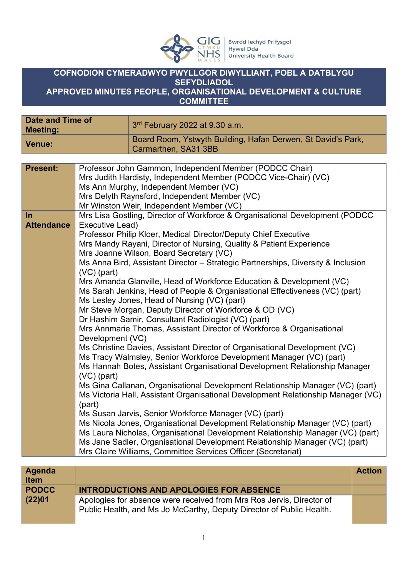

## **COFNODION CYMERADWYO PWYLLGOR DIWYLLIANT, POBL A DATBLYGU SEFYDLIADOL APPROVED MINUTES PEOPLE, ORGANISATIONAL DEVELOPMENT & CULTURE**

**COMMITTEE**

| <b>Date and Time of</b><br><b>Meeting:</b>                                                                    |                                                                                                                                                                                                                                                                   | 3rd February 2022 at 9.30 a.m.                                                                                                                                                                                                                                                                                                                                                                                                                                                                                                                                                                                                                                                                                                                                                                                                                                                                                                                                                                                                                                                                                                                                                                                                                                                                                                                                                                                                                                                                                                             |               |
|---------------------------------------------------------------------------------------------------------------|-------------------------------------------------------------------------------------------------------------------------------------------------------------------------------------------------------------------------------------------------------------------|--------------------------------------------------------------------------------------------------------------------------------------------------------------------------------------------------------------------------------------------------------------------------------------------------------------------------------------------------------------------------------------------------------------------------------------------------------------------------------------------------------------------------------------------------------------------------------------------------------------------------------------------------------------------------------------------------------------------------------------------------------------------------------------------------------------------------------------------------------------------------------------------------------------------------------------------------------------------------------------------------------------------------------------------------------------------------------------------------------------------------------------------------------------------------------------------------------------------------------------------------------------------------------------------------------------------------------------------------------------------------------------------------------------------------------------------------------------------------------------------------------------------------------------------|---------------|
| <b>Venue:</b>                                                                                                 |                                                                                                                                                                                                                                                                   | Board Room, Ystwyth Building, Hafan Derwen, St David's Park,<br>Carmarthen, SA31 3BB                                                                                                                                                                                                                                                                                                                                                                                                                                                                                                                                                                                                                                                                                                                                                                                                                                                                                                                                                                                                                                                                                                                                                                                                                                                                                                                                                                                                                                                       |               |
|                                                                                                               |                                                                                                                                                                                                                                                                   |                                                                                                                                                                                                                                                                                                                                                                                                                                                                                                                                                                                                                                                                                                                                                                                                                                                                                                                                                                                                                                                                                                                                                                                                                                                                                                                                                                                                                                                                                                                                            |               |
| <b>Present:</b>                                                                                               | Professor John Gammon, Independent Member (PODCC Chair)<br>Mrs Judith Hardisty, Independent Member (PODCC Vice-Chair) (VC)<br>Ms Ann Murphy, Independent Member (VC)<br>Mrs Delyth Raynsford, Independent Member (VC)<br>Mr Winston Weir, Independent Member (VC) |                                                                                                                                                                                                                                                                                                                                                                                                                                                                                                                                                                                                                                                                                                                                                                                                                                                                                                                                                                                                                                                                                                                                                                                                                                                                                                                                                                                                                                                                                                                                            |               |
| $\ln$<br><b>Attendance</b><br>Executive Lead)<br>$(VC)$ (part)<br>Development (VC)<br>$(VC)$ (part)<br>(part) |                                                                                                                                                                                                                                                                   | Mrs Lisa Gostling, Director of Workforce & Organisational Development (PODCC<br>Professor Philip Kloer, Medical Director/Deputy Chief Executive<br>Mrs Mandy Rayani, Director of Nursing, Quality & Patient Experience<br>Mrs Joanne Wilson, Board Secretary (VC)<br>Ms Anna Bird, Assistant Director - Strategic Partnerships, Diversity & Inclusion<br>Mrs Amanda Glanville, Head of Workforce Education & Development (VC)<br>Ms Sarah Jenkins, Head of People & Organisational Effectiveness (VC) (part)<br>Ms Lesley Jones, Head of Nursing (VC) (part)<br>Mr Steve Morgan, Deputy Director of Workforce & OD (VC)<br>Dr Hashim Samir, Consultant Radiologist (VC) (part)<br>Mrs Annmarie Thomas, Assistant Director of Workforce & Organisational<br>Ms Christine Davies, Assistant Director of Organisational Development (VC)<br>Ms Tracy Walmsley, Senior Workforce Development Manager (VC) (part)<br>Ms Hannah Botes, Assistant Organisational Development Relationship Manager<br>Ms Gina Callanan, Organisational Development Relationship Manager (VC) (part)<br>Ms Victoria Hall, Assistant Organisational Development Relationship Manager (VC)<br>Ms Susan Jarvis, Senior Workforce Manager (VC) (part)<br>Ms Nicola Jones, Organisational Development Relationship Manager (VC) (part)<br>Ms Laura Nicholas, Organisational Development Relationship Manager (VC) (part)<br>Ms Jane Sadler, Organisational Development Relationship Manager (VC) (part)<br>Mrs Claire Williams, Committee Services Officer (Secretariat) |               |
|                                                                                                               |                                                                                                                                                                                                                                                                   |                                                                                                                                                                                                                                                                                                                                                                                                                                                                                                                                                                                                                                                                                                                                                                                                                                                                                                                                                                                                                                                                                                                                                                                                                                                                                                                                                                                                                                                                                                                                            |               |
| <b>Agenda</b><br><b>Item</b>                                                                                  |                                                                                                                                                                                                                                                                   |                                                                                                                                                                                                                                                                                                                                                                                                                                                                                                                                                                                                                                                                                                                                                                                                                                                                                                                                                                                                                                                                                                                                                                                                                                                                                                                                                                                                                                                                                                                                            | <b>Action</b> |
| <b>PODCC</b>                                                                                                  |                                                                                                                                                                                                                                                                   | <b>INTRODUCTIONS AND APOLOGIES FOR ABSENCE</b>                                                                                                                                                                                                                                                                                                                                                                                                                                                                                                                                                                                                                                                                                                                                                                                                                                                                                                                                                                                                                                                                                                                                                                                                                                                                                                                                                                                                                                                                                             |               |

Apologies for absence were received from Mrs Ros Jervis, Director of Public Health, and Ms Jo McCarthy, Deputy Director of Public Health.

**(22)01**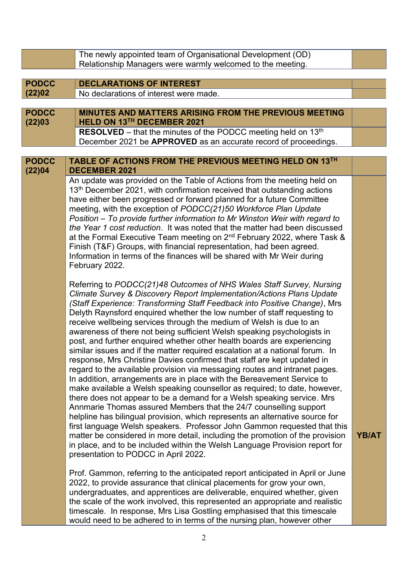|                        | The newly appointed team of Organisational Development (OD)<br>Relationship Managers were warmly welcomed to the meeting.                                                                                                                                                                                                                                                                                                                                                                                                                                                                                                                                                                                                                                                                                                                                                                                                                                                                                                                                                                                                                                                                                                                                                                                                                                                                                                                             |              |  |
|------------------------|-------------------------------------------------------------------------------------------------------------------------------------------------------------------------------------------------------------------------------------------------------------------------------------------------------------------------------------------------------------------------------------------------------------------------------------------------------------------------------------------------------------------------------------------------------------------------------------------------------------------------------------------------------------------------------------------------------------------------------------------------------------------------------------------------------------------------------------------------------------------------------------------------------------------------------------------------------------------------------------------------------------------------------------------------------------------------------------------------------------------------------------------------------------------------------------------------------------------------------------------------------------------------------------------------------------------------------------------------------------------------------------------------------------------------------------------------------|--------------|--|
|                        |                                                                                                                                                                                                                                                                                                                                                                                                                                                                                                                                                                                                                                                                                                                                                                                                                                                                                                                                                                                                                                                                                                                                                                                                                                                                                                                                                                                                                                                       |              |  |
| <b>PODCC</b><br>(22)02 | <b>DECLARATIONS OF INTEREST</b><br>No declarations of interest were made.                                                                                                                                                                                                                                                                                                                                                                                                                                                                                                                                                                                                                                                                                                                                                                                                                                                                                                                                                                                                                                                                                                                                                                                                                                                                                                                                                                             |              |  |
|                        |                                                                                                                                                                                                                                                                                                                                                                                                                                                                                                                                                                                                                                                                                                                                                                                                                                                                                                                                                                                                                                                                                                                                                                                                                                                                                                                                                                                                                                                       |              |  |
| <b>PODCC</b><br>(22)03 | <b>MINUTES AND MATTERS ARISING FROM THE PREVIOUS MEETING</b><br>HELD ON 13TH DECEMBER 2021                                                                                                                                                                                                                                                                                                                                                                                                                                                                                                                                                                                                                                                                                                                                                                                                                                                                                                                                                                                                                                                                                                                                                                                                                                                                                                                                                            |              |  |
|                        | RESOLVED - that the minutes of the PODCC meeting held on 13th<br>December 2021 be APPROVED as an accurate record of proceedings.                                                                                                                                                                                                                                                                                                                                                                                                                                                                                                                                                                                                                                                                                                                                                                                                                                                                                                                                                                                                                                                                                                                                                                                                                                                                                                                      |              |  |
| <b>PODCC</b>           | TABLE OF ACTIONS FROM THE PREVIOUS MEETING HELD ON 13TH                                                                                                                                                                                                                                                                                                                                                                                                                                                                                                                                                                                                                                                                                                                                                                                                                                                                                                                                                                                                                                                                                                                                                                                                                                                                                                                                                                                               |              |  |
| (22)04                 | <b>DECEMBER 2021</b>                                                                                                                                                                                                                                                                                                                                                                                                                                                                                                                                                                                                                                                                                                                                                                                                                                                                                                                                                                                                                                                                                                                                                                                                                                                                                                                                                                                                                                  |              |  |
|                        | An update was provided on the Table of Actions from the meeting held on<br>13 <sup>th</sup> December 2021, with confirmation received that outstanding actions<br>have either been progressed or forward planned for a future Committee<br>meeting, with the exception of PODCC(21)50 Workforce Plan Update<br>Position - To provide further information to Mr Winston Weir with regard to<br>the Year 1 cost reduction. It was noted that the matter had been discussed<br>at the Formal Executive Team meeting on 2 <sup>nd</sup> February 2022, where Task &<br>Finish (T&F) Groups, with financial representation, had been agreed.<br>Information in terms of the finances will be shared with Mr Weir during<br>February 2022.                                                                                                                                                                                                                                                                                                                                                                                                                                                                                                                                                                                                                                                                                                                  |              |  |
|                        | Referring to PODCC(21)48 Outcomes of NHS Wales Staff Survey, Nursing<br>Climate Survey & Discovery Report Implementation/Actions Plans Update<br>(Staff Experience: Transforming Staff Feedback into Positive Change), Mrs<br>Delyth Raynsford enquired whether the low number of staff requesting to<br>receive wellbeing services through the medium of Welsh is due to an<br>awareness of there not being sufficient Welsh speaking psychologists in<br>post, and further enquired whether other health boards are experiencing<br>similar issues and if the matter required escalation at a national forum. In<br>response, Mrs Christine Davies confirmed that staff are kept updated in<br>regard to the available provision via messaging routes and intranet pages.<br>In addition, arrangements are in place with the Bereavement Service to<br>make available a Welsh speaking counsellor as required; to date, however,<br>there does not appear to be a demand for a Welsh speaking service. Mrs<br>Annmarie Thomas assured Members that the 24/7 counselling support<br>helpline has bilingual provision, which represents an alternative source for<br>first language Welsh speakers. Professor John Gammon requested that this<br>matter be considered in more detail, including the promotion of the provision<br>in place, and to be included within the Welsh Language Provision report for<br>presentation to PODCC in April 2022. | <b>YB/AT</b> |  |
|                        | Prof. Gammon, referring to the anticipated report anticipated in April or June<br>2022, to provide assurance that clinical placements for grow your own,<br>undergraduates, and apprentices are deliverable, enquired whether, given<br>the scale of the work involved, this represented an appropriate and realistic<br>timescale. In response, Mrs Lisa Gostling emphasised that this timescale<br>would need to be adhered to in terms of the nursing plan, however other                                                                                                                                                                                                                                                                                                                                                                                                                                                                                                                                                                                                                                                                                                                                                                                                                                                                                                                                                                          |              |  |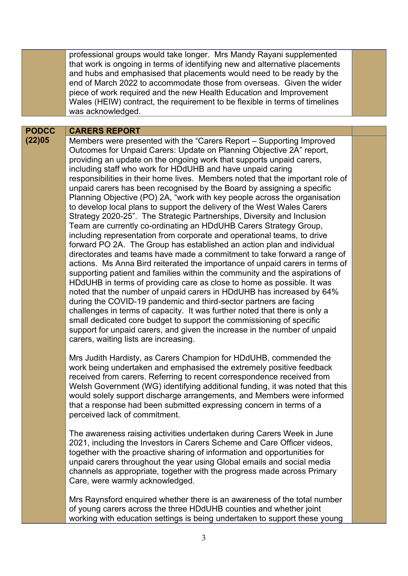professional groups would take longer. Mrs Mandy Rayani supplemented that work is ongoing in terms of identifying new and alternative placements and hubs and emphasised that placements would need to be ready by the end of March 2022 to accommodate those from overseas. Given the wider piece of work required and the new Health Education and Improvement Wales (HEIW) contract, the requirement to be flexible in terms of timelines was acknowledged.

## **PODCC CARERS REPORT**

**(22)05** Members were presented with the "Carers Report – Supporting Improved Outcomes for Unpaid Carers: Update on Planning Objective 2A" report, providing an update on the ongoing work that supports unpaid carers, including staff who work for HDdUHB and have unpaid caring responsibilities in their home lives. Members noted that the important role of unpaid carers has been recognised by the Board by assigning a specific Planning Objective (PO) 2A, "work with key people across the organisation to develop local plans to support the delivery of the West Wales Carers Strategy 2020-25". The Strategic Partnerships, Diversity and Inclusion Team are currently co-ordinating an HDdUHB Carers Strategy Group, including representation from corporate and operational teams, to drive forward PO 2A. The Group has established an action plan and individual directorates and teams have made a commitment to take forward a range of actions. Ms Anna Bird reiterated the importance of unpaid carers in terms of supporting patient and families within the community and the aspirations of HDdUHB in terms of providing care as close to home as possible. It was noted that the number of unpaid carers in HDdUHB has increased by 64% during the COVID-19 pandemic and third-sector partners are facing challenges in terms of capacity. It was further noted that there is only a small dedicated core budget to support the commissioning of specific support for unpaid carers, and given the increase in the number of unpaid carers, waiting lists are increasing.

> Mrs Judith Hardisty, as Carers Champion for HDdUHB, commended the work being undertaken and emphasised the extremely positive feedback received from carers. Referring to recent correspondence received from Welsh Government (WG) identifying additional funding, it was noted that this would solely support discharge arrangements, and Members were informed that a response had been submitted expressing concern in terms of a perceived lack of commitment.

The awareness raising activities undertaken during Carers Week in June 2021, including the Investors in Carers Scheme and Care Officer videos, together with the proactive sharing of information and opportunities for unpaid carers throughout the year using Global emails and social media channels as appropriate, together with the progress made across Primary Care, were warmly acknowledged.

Mrs Raynsford enquired whether there is an awareness of the total number of young carers across the three HDdUHB counties and whether joint working with education settings is being undertaken to support these young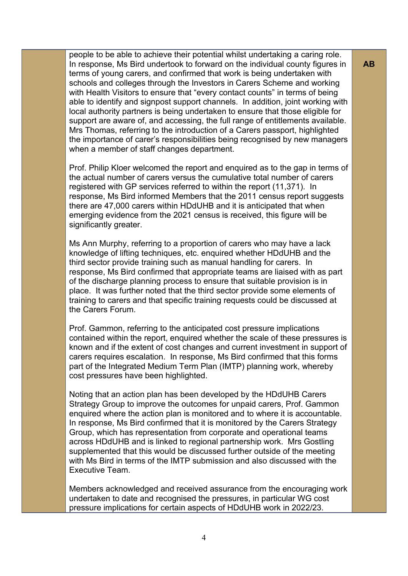people to be able to achieve their potential whilst undertaking a caring role. In response, Ms Bird undertook to forward on the individual county figures in terms of young carers, and confirmed that work is being undertaken with schools and colleges through the Investors in Carers Scheme and working with Health Visitors to ensure that "every contact counts" in terms of being able to identify and signpost support channels. In addition, joint working with local authority partners is being undertaken to ensure that those eligible for support are aware of, and accessing, the full range of entitlements available. Mrs Thomas, referring to the introduction of a Carers passport, highlighted the importance of carer's responsibilities being recognised by new managers when a member of staff changes department.

Prof. Philip Kloer welcomed the report and enquired as to the gap in terms of the actual number of carers versus the cumulative total number of carers registered with GP services referred to within the report (11,371). In response, Ms Bird informed Members that the 2011 census report suggests there are 47,000 carers within HDdUHB and it is anticipated that when emerging evidence from the 2021 census is received, this figure will be significantly greater.

Ms Ann Murphy, referring to a proportion of carers who may have a lack knowledge of lifting techniques, etc. enquired whether HDdUHB and the third sector provide training such as manual handling for carers. In response, Ms Bird confirmed that appropriate teams are liaised with as part of the discharge planning process to ensure that suitable provision is in place. It was further noted that the third sector provide some elements of training to carers and that specific training requests could be discussed at the Carers Forum.

Prof. Gammon, referring to the anticipated cost pressure implications contained within the report, enquired whether the scale of these pressures is known and if the extent of cost changes and current investment in support of carers requires escalation. In response, Ms Bird confirmed that this forms part of the Integrated Medium Term Plan (IMTP) planning work, whereby cost pressures have been highlighted.

Noting that an action plan has been developed by the HDdUHB Carers Strategy Group to improve the outcomes for unpaid carers, Prof. Gammon enquired where the action plan is monitored and to where it is accountable. In response, Ms Bird confirmed that it is monitored by the Carers Strategy Group, which has representation from corporate and operational teams across HDdUHB and is linked to regional partnership work. Mrs Gostling supplemented that this would be discussed further outside of the meeting with Ms Bird in terms of the IMTP submission and also discussed with the Executive Team.

Members acknowledged and received assurance from the encouraging work undertaken to date and recognised the pressures, in particular WG cost pressure implications for certain aspects of HDdUHB work in 2022/23.

**AB**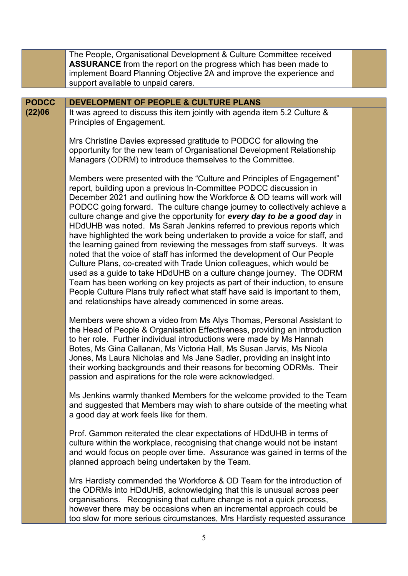|              | The People, Organisational Development & Culture Committee received                                                                                                                                                                                                                                                                                                                                                                                                                                                                                                                                                                                                                                                                                                                                                                                                                                                                                                                                                                                                             |  |
|--------------|---------------------------------------------------------------------------------------------------------------------------------------------------------------------------------------------------------------------------------------------------------------------------------------------------------------------------------------------------------------------------------------------------------------------------------------------------------------------------------------------------------------------------------------------------------------------------------------------------------------------------------------------------------------------------------------------------------------------------------------------------------------------------------------------------------------------------------------------------------------------------------------------------------------------------------------------------------------------------------------------------------------------------------------------------------------------------------|--|
|              | <b>ASSURANCE</b> from the report on the progress which has been made to<br>implement Board Planning Objective 2A and improve the experience and                                                                                                                                                                                                                                                                                                                                                                                                                                                                                                                                                                                                                                                                                                                                                                                                                                                                                                                                 |  |
|              | support available to unpaid carers.                                                                                                                                                                                                                                                                                                                                                                                                                                                                                                                                                                                                                                                                                                                                                                                                                                                                                                                                                                                                                                             |  |
|              |                                                                                                                                                                                                                                                                                                                                                                                                                                                                                                                                                                                                                                                                                                                                                                                                                                                                                                                                                                                                                                                                                 |  |
| <b>PODCC</b> | DEVELOPMENT OF PEOPLE & CULTURE PLANS                                                                                                                                                                                                                                                                                                                                                                                                                                                                                                                                                                                                                                                                                                                                                                                                                                                                                                                                                                                                                                           |  |
| (22)06       | It was agreed to discuss this item jointly with agenda item 5.2 Culture &<br>Principles of Engagement.                                                                                                                                                                                                                                                                                                                                                                                                                                                                                                                                                                                                                                                                                                                                                                                                                                                                                                                                                                          |  |
|              | Mrs Christine Davies expressed gratitude to PODCC for allowing the<br>opportunity for the new team of Organisational Development Relationship<br>Managers (ODRM) to introduce themselves to the Committee.                                                                                                                                                                                                                                                                                                                                                                                                                                                                                                                                                                                                                                                                                                                                                                                                                                                                      |  |
|              | Members were presented with the "Culture and Principles of Engagement"<br>report, building upon a previous In-Committee PODCC discussion in<br>December 2021 and outlining how the Workforce & OD teams will work will<br>PODCC going forward. The culture change journey to collectively achieve a<br>culture change and give the opportunity for every day to be a good day in<br>HDdUHB was noted. Ms Sarah Jenkins referred to previous reports which<br>have highlighted the work being undertaken to provide a voice for staff, and<br>the learning gained from reviewing the messages from staff surveys. It was<br>noted that the voice of staff has informed the development of Our People<br>Culture Plans, co-created with Trade Union colleagues, which would be<br>used as a guide to take HDdUHB on a culture change journey. The ODRM<br>Team has been working on key projects as part of their induction, to ensure<br>People Culture Plans truly reflect what staff have said is important to them,<br>and relationships have already commenced in some areas. |  |
|              | Members were shown a video from Ms Alys Thomas, Personal Assistant to<br>the Head of People & Organisation Effectiveness, providing an introduction<br>to her role. Further individual introductions were made by Ms Hannah<br>Botes, Ms Gina Callanan, Ms Victoria Hall, Ms Susan Jarvis, Ms Nicola<br>Jones, Ms Laura Nicholas and Ms Jane Sadler, providing an insight into<br>their working backgrounds and their reasons for becoming ODRMs. Their<br>passion and aspirations for the role were acknowledged.                                                                                                                                                                                                                                                                                                                                                                                                                                                                                                                                                              |  |
|              | Ms Jenkins warmly thanked Members for the welcome provided to the Team<br>and suggested that Members may wish to share outside of the meeting what<br>a good day at work feels like for them.                                                                                                                                                                                                                                                                                                                                                                                                                                                                                                                                                                                                                                                                                                                                                                                                                                                                                   |  |
|              | Prof. Gammon reiterated the clear expectations of HDdUHB in terms of<br>culture within the workplace, recognising that change would not be instant<br>and would focus on people over time. Assurance was gained in terms of the<br>planned approach being undertaken by the Team.                                                                                                                                                                                                                                                                                                                                                                                                                                                                                                                                                                                                                                                                                                                                                                                               |  |
|              | Mrs Hardisty commended the Workforce & OD Team for the introduction of<br>the ODRMs into HDdUHB, acknowledging that this is unusual across peer<br>organisations. Recognising that culture change is not a quick process,<br>however there may be occasions when an incremental approach could be<br>too slow for more serious circumstances, Mrs Hardisty requested assurance                                                                                                                                                                                                                                                                                                                                                                                                                                                                                                                                                                                                                                                                                                  |  |
|              | 5                                                                                                                                                                                                                                                                                                                                                                                                                                                                                                                                                                                                                                                                                                                                                                                                                                                                                                                                                                                                                                                                               |  |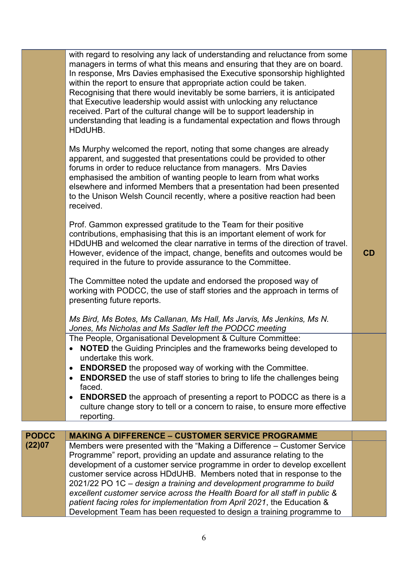|              | with regard to resolving any lack of understanding and reluctance from some<br>managers in terms of what this means and ensuring that they are on board.<br>In response, Mrs Davies emphasised the Executive sponsorship highlighted<br>within the report to ensure that appropriate action could be taken.<br>Recognising that there would inevitably be some barriers, it is anticipated<br>that Executive leadership would assist with unlocking any reluctance<br>received. Part of the cultural change will be to support leadership in<br>understanding that leading is a fundamental expectation and flows through<br>HDdUHB.<br>Ms Murphy welcomed the report, noting that some changes are already<br>apparent, and suggested that presentations could be provided to other<br>forums in order to reduce reluctance from managers. Mrs Davies<br>emphasised the ambition of wanting people to learn from what works<br>elsewhere and informed Members that a presentation had been presented<br>to the Unison Welsh Council recently, where a positive reaction had been<br>received.<br>Prof. Gammon expressed gratitude to the Team for their positive<br>contributions, emphasising that this is an important element of work for<br>HDdUHB and welcomed the clear narrative in terms of the direction of travel.<br>However, evidence of the impact, change, benefits and outcomes would be<br>required in the future to provide assurance to the Committee. | CD |
|--------------|---------------------------------------------------------------------------------------------------------------------------------------------------------------------------------------------------------------------------------------------------------------------------------------------------------------------------------------------------------------------------------------------------------------------------------------------------------------------------------------------------------------------------------------------------------------------------------------------------------------------------------------------------------------------------------------------------------------------------------------------------------------------------------------------------------------------------------------------------------------------------------------------------------------------------------------------------------------------------------------------------------------------------------------------------------------------------------------------------------------------------------------------------------------------------------------------------------------------------------------------------------------------------------------------------------------------------------------------------------------------------------------------------------------------------------------------------------------------------|----|
|              | The Committee noted the update and endorsed the proposed way of<br>working with PODCC, the use of staff stories and the approach in terms of<br>presenting future reports.<br>Ms Bird, Ms Botes, Ms Callanan, Ms Hall, Ms Jarvis, Ms Jenkins, Ms N.                                                                                                                                                                                                                                                                                                                                                                                                                                                                                                                                                                                                                                                                                                                                                                                                                                                                                                                                                                                                                                                                                                                                                                                                                       |    |
|              | Jones, Ms Nicholas and Ms Sadler left the PODCC meeting<br>The People, Organisational Development & Culture Committee:<br><b>NOTED</b> the Guiding Principles and the frameworks being developed to<br>$\bullet$<br>undertake this work.<br><b>ENDORSED</b> the proposed way of working with the Committee.<br>$\bullet$<br><b>ENDORSED</b> the use of staff stories to bring to life the challenges being<br>$\bullet$<br>faced.<br><b>ENDORSED</b> the approach of presenting a report to PODCC as there is a<br>$\bullet$<br>culture change story to tell or a concern to raise, to ensure more effective<br>reporting.                                                                                                                                                                                                                                                                                                                                                                                                                                                                                                                                                                                                                                                                                                                                                                                                                                                |    |
| <b>PODCC</b> | <b>MAKING A DIFFERENCE - CUSTOMER SERVICE PROGRAMME</b>                                                                                                                                                                                                                                                                                                                                                                                                                                                                                                                                                                                                                                                                                                                                                                                                                                                                                                                                                                                                                                                                                                                                                                                                                                                                                                                                                                                                                   |    |
| (22)07       | Members were presented with the "Making a Difference – Customer Service<br>Programme" report, providing an update and assurance relating to the<br>development of a customer service programme in order to develop excellent<br>customer service across HDdUHB. Members noted that in response to the<br>2021/22 PO 1C - design a training and development programme to build<br>excellent customer service across the Health Board for all staff in public &<br>patient facing roles for implementation from April 2021, the Education &<br>Development Team has been requested to design a training programme to                                                                                                                                                                                                                                                                                                                                                                                                                                                                                                                                                                                                                                                                                                                                                                                                                                                        |    |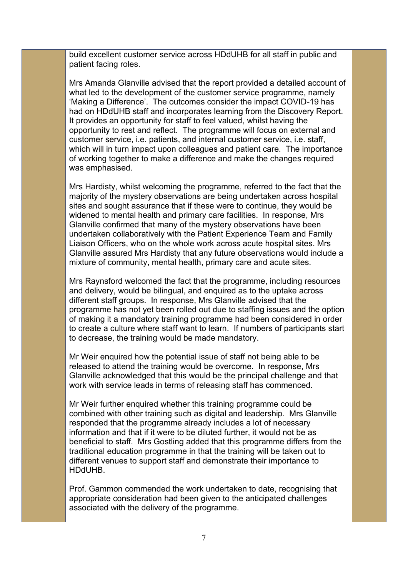build excellent customer service across HDdUHB for all staff in public and patient facing roles.

Mrs Amanda Glanville advised that the report provided a detailed account of what led to the development of the customer service programme, namely 'Making a Difference'. The outcomes consider the impact COVID-19 has had on HDdUHB staff and incorporates learning from the Discovery Report. It provides an opportunity for staff to feel valued, whilst having the opportunity to rest and reflect. The programme will focus on external and customer service, i.e. patients, and internal customer service, i.e. staff, which will in turn impact upon colleagues and patient care. The importance of working together to make a difference and make the changes required was emphasised.

Mrs Hardisty, whilst welcoming the programme, referred to the fact that the majority of the mystery observations are being undertaken across hospital sites and sought assurance that if these were to continue, they would be widened to mental health and primary care facilities. In response, Mrs Glanville confirmed that many of the mystery observations have been undertaken collaboratively with the Patient Experience Team and Family Liaison Officers, who on the whole work across acute hospital sites. Mrs Glanville assured Mrs Hardisty that any future observations would include a mixture of community, mental health, primary care and acute sites.

Mrs Raynsford welcomed the fact that the programme, including resources and delivery, would be bilingual, and enquired as to the uptake across different staff groups. In response, Mrs Glanville advised that the programme has not yet been rolled out due to staffing issues and the option of making it a mandatory training programme had been considered in order to create a culture where staff want to learn. If numbers of participants start to decrease, the training would be made mandatory.

Mr Weir enquired how the potential issue of staff not being able to be released to attend the training would be overcome. In response, Mrs Glanville acknowledged that this would be the principal challenge and that work with service leads in terms of releasing staff has commenced.

Mr Weir further enquired whether this training programme could be combined with other training such as digital and leadership. Mrs Glanville responded that the programme already includes a lot of necessary information and that if it were to be diluted further, it would not be as beneficial to staff. Mrs Gostling added that this programme differs from the traditional education programme in that the training will be taken out to different venues to support staff and demonstrate their importance to HDdUHB.

Prof. Gammon commended the work undertaken to date, recognising that appropriate consideration had been given to the anticipated challenges associated with the delivery of the programme.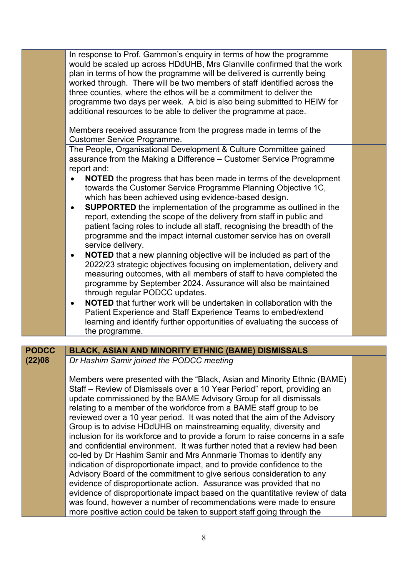|              | In response to Prof. Gammon's enquiry in terms of how the programme<br>would be scaled up across HDdUHB, Mrs Glanville confirmed that the work<br>plan in terms of how the programme will be delivered is currently being<br>worked through. There will be two members of staff identified across the<br>three counties, where the ethos will be a commitment to deliver the<br>programme two days per week. A bid is also being submitted to HEIW for<br>additional resources to be able to deliver the programme at pace.<br>Members received assurance from the progress made in terms of the<br><b>Customer Service Programme.</b><br>The People, Organisational Development & Culture Committee gained<br>assurance from the Making a Difference - Customer Service Programme<br>report and:<br><b>NOTED</b> the progress that has been made in terms of the development<br>$\bullet$<br>towards the Customer Service Programme Planning Objective 1C,<br>which has been achieved using evidence-based design.                                                                                                                                                                            |  |
|--------------|------------------------------------------------------------------------------------------------------------------------------------------------------------------------------------------------------------------------------------------------------------------------------------------------------------------------------------------------------------------------------------------------------------------------------------------------------------------------------------------------------------------------------------------------------------------------------------------------------------------------------------------------------------------------------------------------------------------------------------------------------------------------------------------------------------------------------------------------------------------------------------------------------------------------------------------------------------------------------------------------------------------------------------------------------------------------------------------------------------------------------------------------------------------------------------------------|--|
|              | <b>SUPPORTED</b> the implementation of the programme as outlined in the<br>$\bullet$<br>report, extending the scope of the delivery from staff in public and<br>patient facing roles to include all staff, recognising the breadth of the<br>programme and the impact internal customer service has on overall<br>service delivery.<br><b>NOTED</b> that a new planning objective will be included as part of the<br>$\bullet$<br>2022/23 strategic objectives focusing on implementation, delivery and<br>measuring outcomes, with all members of staff to have completed the<br>programme by September 2024. Assurance will also be maintained<br>through regular PODCC updates.<br><b>NOTED</b> that further work will be undertaken in collaboration with the<br>$\bullet$<br>Patient Experience and Staff Experience Teams to embed/extend<br>learning and identify further opportunities of evaluating the success of<br>the programme.                                                                                                                                                                                                                                                  |  |
|              |                                                                                                                                                                                                                                                                                                                                                                                                                                                                                                                                                                                                                                                                                                                                                                                                                                                                                                                                                                                                                                                                                                                                                                                                |  |
| <b>PODCC</b> | <b>BLACK, ASIAN AND MINORITY ETHNIC (BAME) DISMISSALS</b>                                                                                                                                                                                                                                                                                                                                                                                                                                                                                                                                                                                                                                                                                                                                                                                                                                                                                                                                                                                                                                                                                                                                      |  |
| (22)08       | Dr Hashim Samir joined the PODCC meeting<br>Members were presented with the "Black, Asian and Minority Ethnic (BAME)<br>Staff – Review of Dismissals over a 10 Year Period" report, providing an<br>update commissioned by the BAME Advisory Group for all dismissals<br>relating to a member of the workforce from a BAME staff group to be<br>reviewed over a 10 year period. It was noted that the aim of the Advisory<br>Group is to advise HDdUHB on mainstreaming equality, diversity and<br>inclusion for its workforce and to provide a forum to raise concerns in a safe<br>and confidential environment. It was further noted that a review had been<br>co-led by Dr Hashim Samir and Mrs Annmarie Thomas to identify any<br>indication of disproportionate impact, and to provide confidence to the<br>Advisory Board of the commitment to give serious consideration to any<br>evidence of disproportionate action. Assurance was provided that no<br>evidence of disproportionate impact based on the quantitative review of data<br>was found, however a number of recommendations were made to ensure<br>more positive action could be taken to support staff going through the |  |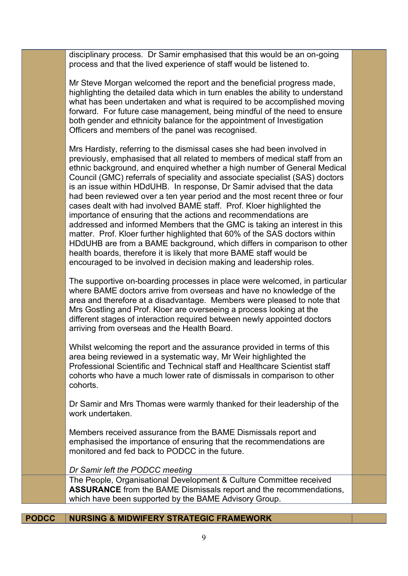disciplinary process. Dr Samir emphasised that this would be an on-going process and that the lived experience of staff would be listened to.

Mr Steve Morgan welcomed the report and the beneficial progress made, highlighting the detailed data which in turn enables the ability to understand what has been undertaken and what is required to be accomplished moving forward. For future case management, being mindful of the need to ensure both gender and ethnicity balance for the appointment of Investigation Officers and members of the panel was recognised.

Mrs Hardisty, referring to the dismissal cases she had been involved in previously, emphasised that all related to members of medical staff from an ethnic background, and enquired whether a high number of General Medical Council (GMC) referrals of speciality and associate specialist (SAS) doctors is an issue within HDdUHB. In response, Dr Samir advised that the data had been reviewed over a ten year period and the most recent three or four cases dealt with had involved BAME staff. Prof. Kloer highlighted the importance of ensuring that the actions and recommendations are addressed and informed Members that the GMC is taking an interest in this matter. Prof. Kloer further highlighted that 60% of the SAS doctors within HDdUHB are from a BAME background, which differs in comparison to other health boards, therefore it is likely that more BAME staff would be encouraged to be involved in decision making and leadership roles.

The supportive on-boarding processes in place were welcomed, in particular where BAME doctors arrive from overseas and have no knowledge of the area and therefore at a disadvantage. Members were pleased to note that Mrs Gostling and Prof. Kloer are overseeing a process looking at the different stages of interaction required between newly appointed doctors arriving from overseas and the Health Board.

Whilst welcoming the report and the assurance provided in terms of this area being reviewed in a systematic way, Mr Weir highlighted the Professional Scientific and Technical staff and Healthcare Scientist staff cohorts who have a much lower rate of dismissals in comparison to other cohorts.

Dr Samir and Mrs Thomas were warmly thanked for their leadership of the work undertaken.

Members received assurance from the BAME Dismissals report and emphasised the importance of ensuring that the recommendations are monitored and fed back to PODCC in the future.

*Dr Samir left the PODCC meeting*

The People, Organisational Development & Culture Committee received **ASSURANCE** from the BAME Dismissals report and the recommendations, which have been supported by the BAME Advisory Group.

## **PODCC NURSING & MIDWIFERY STRATEGIC FRAMEWORK**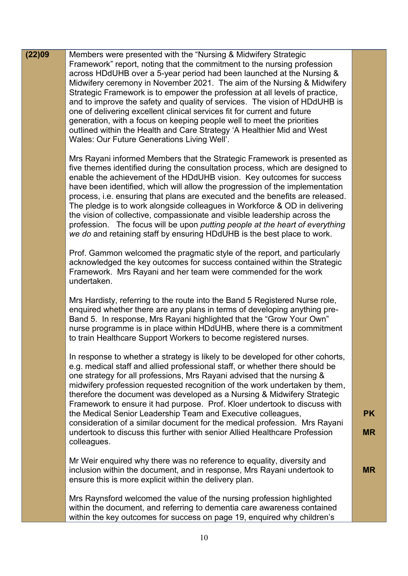| (22)09 | Members were presented with the "Nursing & Midwifery Strategic<br>Framework" report, noting that the commitment to the nursing profession<br>across HDdUHB over a 5-year period had been launched at the Nursing &<br>Midwifery ceremony in November 2021. The aim of the Nursing & Midwifery<br>Strategic Framework is to empower the profession at all levels of practice,<br>and to improve the safety and quality of services. The vision of HDdUHB is<br>one of delivering excellent clinical services fit for current and future                                                                                                                                                                                    |           |
|--------|---------------------------------------------------------------------------------------------------------------------------------------------------------------------------------------------------------------------------------------------------------------------------------------------------------------------------------------------------------------------------------------------------------------------------------------------------------------------------------------------------------------------------------------------------------------------------------------------------------------------------------------------------------------------------------------------------------------------------|-----------|
|        | generation, with a focus on keeping people well to meet the priorities<br>outlined within the Health and Care Strategy 'A Healthier Mid and West<br>Wales: Our Future Generations Living Well'.                                                                                                                                                                                                                                                                                                                                                                                                                                                                                                                           |           |
|        | Mrs Rayani informed Members that the Strategic Framework is presented as<br>five themes identified during the consultation process, which are designed to<br>enable the achievement of the HDdUHB vision. Key outcomes for success<br>have been identified, which will allow the progression of the implementation<br>process, i.e. ensuring that plans are executed and the benefits are released.<br>The pledge is to work alongside colleagues in Workforce & OD in delivering<br>the vision of collective, compassionate and visible leadership across the<br>profession. The focus will be upon putting people at the heart of everything<br>we do and retaining staff by ensuring HDdUHB is the best place to work. |           |
|        | Prof. Gammon welcomed the pragmatic style of the report, and particularly<br>acknowledged the key outcomes for success contained within the Strategic<br>Framework. Mrs Rayani and her team were commended for the work<br>undertaken.                                                                                                                                                                                                                                                                                                                                                                                                                                                                                    |           |
|        | Mrs Hardisty, referring to the route into the Band 5 Registered Nurse role,<br>enquired whether there are any plans in terms of developing anything pre-<br>Band 5. In response, Mrs Rayani highlighted that the "Grow Your Own"<br>nurse programme is in place within HDdUHB, where there is a commitment<br>to train Healthcare Support Workers to become registered nurses.                                                                                                                                                                                                                                                                                                                                            |           |
|        | In response to whether a strategy is likely to be developed for other cohorts,<br>e.g. medical staff and allied professional staff, or whether there should be<br>one strategy for all professions, Mrs Rayani advised that the nursing &<br>midwifery profession requested recognition of the work undertaken by them,<br>therefore the document was developed as a Nursing & Midwifery Strategic<br>Framework to ensure it had purpose. Prof. Kloer undertook to discuss with<br>the Medical Senior Leadership Team and Executive colleagues,                                                                                                                                                                           | <b>PK</b> |
|        | consideration of a similar document for the medical profession. Mrs Rayani<br>undertook to discuss this further with senior Allied Healthcare Profession<br>colleagues.                                                                                                                                                                                                                                                                                                                                                                                                                                                                                                                                                   | <b>MR</b> |
|        | Mr Weir enquired why there was no reference to equality, diversity and<br>inclusion within the document, and in response, Mrs Rayani undertook to<br>ensure this is more explicit within the delivery plan.                                                                                                                                                                                                                                                                                                                                                                                                                                                                                                               | <b>MR</b> |
|        | Mrs Raynsford welcomed the value of the nursing profession highlighted<br>within the document, and referring to dementia care awareness contained<br>within the key outcomes for success on page 19, enquired why children's                                                                                                                                                                                                                                                                                                                                                                                                                                                                                              |           |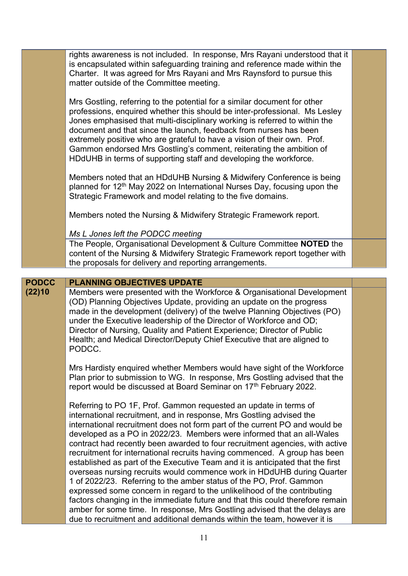|              | rights awareness is not included. In response, Mrs Rayani understood that it<br>is encapsulated within safeguarding training and reference made within the<br>Charter. It was agreed for Mrs Rayani and Mrs Raynsford to pursue this<br>matter outside of the Committee meeting.                                                                                                                                                                                                                                                   |  |
|--------------|------------------------------------------------------------------------------------------------------------------------------------------------------------------------------------------------------------------------------------------------------------------------------------------------------------------------------------------------------------------------------------------------------------------------------------------------------------------------------------------------------------------------------------|--|
|              | Mrs Gostling, referring to the potential for a similar document for other<br>professions, enquired whether this should be inter-professional. Ms Lesley<br>Jones emphasised that multi-disciplinary working is referred to within the<br>document and that since the launch, feedback from nurses has been<br>extremely positive who are grateful to have a vision of their own. Prof.<br>Gammon endorsed Mrs Gostling's comment, reiterating the ambition of<br>HDdUHB in terms of supporting staff and developing the workforce. |  |
|              | Members noted that an HDdUHB Nursing & Midwifery Conference is being<br>planned for 12 <sup>th</sup> May 2022 on International Nurses Day, focusing upon the<br>Strategic Framework and model relating to the five domains.                                                                                                                                                                                                                                                                                                        |  |
|              | Members noted the Nursing & Midwifery Strategic Framework report.                                                                                                                                                                                                                                                                                                                                                                                                                                                                  |  |
|              | Ms L Jones left the PODCC meeting                                                                                                                                                                                                                                                                                                                                                                                                                                                                                                  |  |
|              | The People, Organisational Development & Culture Committee NOTED the<br>content of the Nursing & Midwifery Strategic Framework report together with<br>the proposals for delivery and reporting arrangements.                                                                                                                                                                                                                                                                                                                      |  |
| <b>PODCC</b> | <b>PLANNING OBJECTIVES UPDATE</b>                                                                                                                                                                                                                                                                                                                                                                                                                                                                                                  |  |
| (22)10       | Members were presented with the Workforce & Organisational Development                                                                                                                                                                                                                                                                                                                                                                                                                                                             |  |
|              | (OD) Planning Objectives Update, providing an update on the progress<br>made in the development (delivery) of the twelve Planning Objectives (PO)<br>under the Executive leadership of the Director of Workforce and OD;<br>Director of Nursing, Quality and Patient Experience; Director of Public<br>Health; and Medical Director/Deputy Chief Executive that are aligned to<br>PODCC.                                                                                                                                           |  |
|              | Mrs Hardisty enquired whether Members would have sight of the Workforce<br>Plan prior to submission to WG. In response, Mrs Gostling advised that the<br>report would be discussed at Board Seminar on 17th February 2022.                                                                                                                                                                                                                                                                                                         |  |
|              | Referring to PO 1F, Prof. Gammon requested an update in terms of<br>international recruitment, and in response, Mrs Gostling advised the                                                                                                                                                                                                                                                                                                                                                                                           |  |

Ī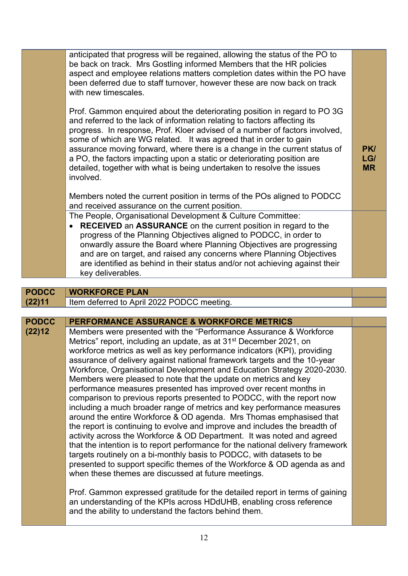|                        | anticipated that progress will be regained, allowing the status of the PO to<br>be back on track. Mrs Gostling informed Members that the HR policies<br>aspect and employee relations matters completion dates within the PO have<br>been deferred due to staff turnover, however these are now back on track<br>with new timescales.                                                                                                                                                                                                                      |                         |
|------------------------|------------------------------------------------------------------------------------------------------------------------------------------------------------------------------------------------------------------------------------------------------------------------------------------------------------------------------------------------------------------------------------------------------------------------------------------------------------------------------------------------------------------------------------------------------------|-------------------------|
|                        | Prof. Gammon enquired about the deteriorating position in regard to PO 3G<br>and referred to the lack of information relating to factors affecting its<br>progress. In response, Prof. Kloer advised of a number of factors involved,<br>some of which are WG related. It was agreed that in order to gain<br>assurance moving forward, where there is a change in the current status of<br>a PO, the factors impacting upon a static or deteriorating position are<br>detailed, together with what is being undertaken to resolve the issues<br>involved. | PK/<br>LG/<br><b>MR</b> |
|                        | Members noted the current position in terms of the POs aligned to PODCC<br>and received assurance on the current position.                                                                                                                                                                                                                                                                                                                                                                                                                                 |                         |
|                        | The People, Organisational Development & Culture Committee:<br>RECEIVED an ASSURANCE on the current position in regard to the<br>progress of the Planning Objectives aligned to PODCC, in order to<br>onwardly assure the Board where Planning Objectives are progressing<br>and are on target, and raised any concerns where Planning Objectives<br>are identified as behind in their status and/or not achieving against their<br>key deliverables.                                                                                                      |                         |
|                        |                                                                                                                                                                                                                                                                                                                                                                                                                                                                                                                                                            |                         |
| <b>PODCC</b><br>(22)11 | <b>WORKFORCE PLAN</b><br>Item deferred to April 2022 PODCC meeting.                                                                                                                                                                                                                                                                                                                                                                                                                                                                                        |                         |
|                        |                                                                                                                                                                                                                                                                                                                                                                                                                                                                                                                                                            |                         |
| <b>PODCC</b>           | PERFORMANCE ASSURANCE & WORKFORCE METRICS                                                                                                                                                                                                                                                                                                                                                                                                                                                                                                                  |                         |
| (22)12                 | Members were presented with the "Performance Assurance & Workforce<br>Metrics" report, including an update, as at 31 <sup>st</sup> December 2021, on<br>workforce metrics as well as key performance indicators (KPI), providing<br>assurance of delivery against national framework targets and the 10-year                                                                                                                                                                                                                                               |                         |

Workforce, Organisational Development and Education Strategy 2020-2030. Members were pleased to note that the update on metrics and key performance measures presented has improved over recent months in comparison to previous reports presented to PODCC, with the report now including a much broader range of metrics and key performance measures around the entire Workforce & OD agenda. Mrs Thomas emphasised that the report is continuing to evolve and improve and includes the breadth of activity across the Workforce & OD Department. It was noted and agreed that the intention is to report performance for the national delivery framework targets routinely on a bi-monthly basis to PODCC, with datasets to be presented to support specific themes of the Workforce & OD agenda as and when these themes are discussed at future meetings.

> Prof. Gammon expressed gratitude for the detailed report in terms of gaining an understanding of the KPIs across HDdUHB, enabling cross reference and the ability to understand the factors behind them.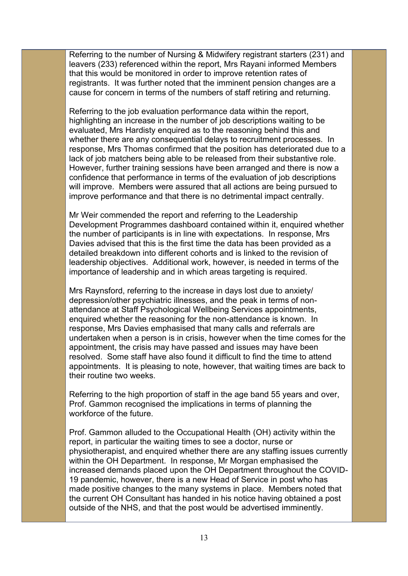Referring to the number of Nursing & Midwifery registrant starters (231) and leavers (233) referenced within the report, Mrs Rayani informed Members that this would be monitored in order to improve retention rates of registrants. It was further noted that the imminent pension changes are a cause for concern in terms of the numbers of staff retiring and returning.

Referring to the job evaluation performance data within the report, highlighting an increase in the number of job descriptions waiting to be evaluated, Mrs Hardisty enquired as to the reasoning behind this and whether there are any consequential delays to recruitment processes. In response, Mrs Thomas confirmed that the position has deteriorated due to a lack of job matchers being able to be released from their substantive role. However, further training sessions have been arranged and there is now a confidence that performance in terms of the evaluation of job descriptions will improve. Members were assured that all actions are being pursued to improve performance and that there is no detrimental impact centrally.

Mr Weir commended the report and referring to the Leadership Development Programmes dashboard contained within it, enquired whether the number of participants is in line with expectations. In response, Mrs Davies advised that this is the first time the data has been provided as a detailed breakdown into different cohorts and is linked to the revision of leadership objectives. Additional work, however, is needed in terms of the importance of leadership and in which areas targeting is required.

Mrs Raynsford, referring to the increase in days lost due to anxiety/ depression/other psychiatric illnesses, and the peak in terms of nonattendance at Staff Psychological Wellbeing Services appointments, enquired whether the reasoning for the non-attendance is known. In response, Mrs Davies emphasised that many calls and referrals are undertaken when a person is in crisis, however when the time comes for the appointment, the crisis may have passed and issues may have been resolved. Some staff have also found it difficult to find the time to attend appointments. It is pleasing to note, however, that waiting times are back to their routine two weeks.

Referring to the high proportion of staff in the age band 55 years and over, Prof. Gammon recognised the implications in terms of planning the workforce of the future.

Prof. Gammon alluded to the Occupational Health (OH) activity within the report, in particular the waiting times to see a doctor, nurse or physiotherapist, and enquired whether there are any staffing issues currently within the OH Department. In response, Mr Morgan emphasised the increased demands placed upon the OH Department throughout the COVID-19 pandemic, however, there is a new Head of Service in post who has made positive changes to the many systems in place. Members noted that the current OH Consultant has handed in his notice having obtained a post outside of the NHS, and that the post would be advertised imminently.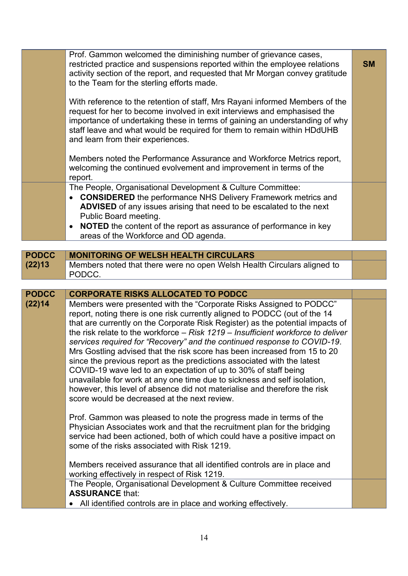|              | Prof. Gammon welcomed the diminishing number of grievance cases,<br>restricted practice and suspensions reported within the employee relations<br>activity section of the report, and requested that Mr Morgan convey gratitude<br>to the Team for the sterling efforts made.<br>With reference to the retention of staff, Mrs Rayani informed Members of the<br>request for her to become involved in exit interviews and emphasised the<br>importance of undertaking these in terms of gaining an understanding of why<br>staff leave and what would be required for them to remain within HDdUHB<br>and learn from their experiences.<br>Members noted the Performance Assurance and Workforce Metrics report,<br>welcoming the continued evolvement and improvement in terms of the<br>report.                                                                                                                | <b>SM</b> |
|--------------|-------------------------------------------------------------------------------------------------------------------------------------------------------------------------------------------------------------------------------------------------------------------------------------------------------------------------------------------------------------------------------------------------------------------------------------------------------------------------------------------------------------------------------------------------------------------------------------------------------------------------------------------------------------------------------------------------------------------------------------------------------------------------------------------------------------------------------------------------------------------------------------------------------------------|-----------|
|              | The People, Organisational Development & Culture Committee:<br><b>CONSIDERED</b> the performance NHS Delivery Framework metrics and<br>ADVISED of any issues arising that need to be escalated to the next<br>Public Board meeting.<br>NOTED the content of the report as assurance of performance in key<br>$\bullet$<br>areas of the Workforce and OD agenda.                                                                                                                                                                                                                                                                                                                                                                                                                                                                                                                                                   |           |
|              |                                                                                                                                                                                                                                                                                                                                                                                                                                                                                                                                                                                                                                                                                                                                                                                                                                                                                                                   |           |
| <b>PODCC</b> | <b>MONITORING OF WELSH HEALTH CIRCULARS</b>                                                                                                                                                                                                                                                                                                                                                                                                                                                                                                                                                                                                                                                                                                                                                                                                                                                                       |           |
| (22)13       | Members noted that there were no open Welsh Health Circulars aligned to<br>PODCC.                                                                                                                                                                                                                                                                                                                                                                                                                                                                                                                                                                                                                                                                                                                                                                                                                                 |           |
| <b>PODCC</b> | <b>CORPORATE RISKS ALLOCATED TO PODCC</b>                                                                                                                                                                                                                                                                                                                                                                                                                                                                                                                                                                                                                                                                                                                                                                                                                                                                         |           |
| (22)14       | Members were presented with the "Corporate Risks Assigned to PODCC"<br>report, noting there is one risk currently aligned to PODCC (out of the 14<br>that are currently on the Corporate Risk Register) as the potential impacts of<br>the risk relate to the workforce $-$ Risk 1219 $-$ Insufficient workforce to deliver<br>services required for "Recovery" and the continued response to COVID-19.<br>Mrs Gostling advised that the risk score has been increased from 15 to 20<br>since the previous report as the predictions associated with the latest<br>COVID-19 wave led to an expectation of up to 30% of staff being<br>unavailable for work at any one time due to sickness and self isolation,<br>however, this level of absence did not materialise and therefore the risk<br>score would be decreased at the next review.<br>Prof. Gammon was pleased to note the progress made in terms of the |           |
|              | Physician Associates work and that the recruitment plan for the bridging<br>service had been actioned, both of which could have a positive impact on<br>some of the risks associated with Risk 1219.<br>Members received assurance that all identified controls are in place and<br>working effectively in respect of Risk 1219.<br>The People, Organisational Development & Culture Committee received                                                                                                                                                                                                                                                                                                                                                                                                                                                                                                           |           |
|              | <b>ASSURANCE that:</b><br>All identified controls are in place and working effectively.                                                                                                                                                                                                                                                                                                                                                                                                                                                                                                                                                                                                                                                                                                                                                                                                                           |           |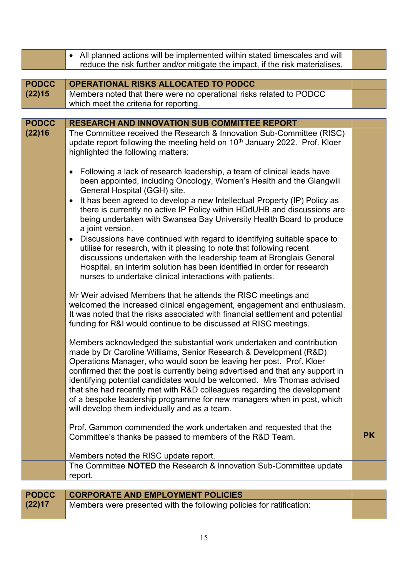|              | • All planned actions will be implemented within stated timescales and will                                                                                                                                                                                                                                                                                                                                                                                                                                                                                                        |           |  |
|--------------|------------------------------------------------------------------------------------------------------------------------------------------------------------------------------------------------------------------------------------------------------------------------------------------------------------------------------------------------------------------------------------------------------------------------------------------------------------------------------------------------------------------------------------------------------------------------------------|-----------|--|
|              | reduce the risk further and/or mitigate the impact, if the risk materialises.                                                                                                                                                                                                                                                                                                                                                                                                                                                                                                      |           |  |
| <b>PODCC</b> | <b>OPERATIONAL RISKS ALLOCATED TO PODCC</b>                                                                                                                                                                                                                                                                                                                                                                                                                                                                                                                                        |           |  |
| (22)15       | Members noted that there were no operational risks related to PODCC                                                                                                                                                                                                                                                                                                                                                                                                                                                                                                                |           |  |
|              | which meet the criteria for reporting.                                                                                                                                                                                                                                                                                                                                                                                                                                                                                                                                             |           |  |
|              |                                                                                                                                                                                                                                                                                                                                                                                                                                                                                                                                                                                    |           |  |
| <b>PODCC</b> | <b>RESEARCH AND INNOVATION SUB COMMITTEE REPORT</b>                                                                                                                                                                                                                                                                                                                                                                                                                                                                                                                                |           |  |
| (22)16       | The Committee received the Research & Innovation Sub-Committee (RISC)<br>update report following the meeting held on 10 <sup>th</sup> January 2022. Prof. Kloer<br>highlighted the following matters:                                                                                                                                                                                                                                                                                                                                                                              |           |  |
|              | Following a lack of research leadership, a team of clinical leads have<br>$\bullet$<br>been appointed, including Oncology, Women's Health and the Glangwili<br>General Hospital (GGH) site.<br>It has been agreed to develop a new Intellectual Property (IP) Policy as<br>$\bullet$<br>there is currently no active IP Policy within HDdUHB and discussions are                                                                                                                                                                                                                   |           |  |
|              | being undertaken with Swansea Bay University Health Board to produce<br>a joint version.<br>Discussions have continued with regard to identifying suitable space to<br>$\bullet$<br>utilise for research, with it pleasing to note that following recent<br>discussions undertaken with the leadership team at Bronglais General<br>Hospital, an interim solution has been identified in order for research<br>nurses to undertake clinical interactions with patients.                                                                                                            |           |  |
|              | Mr Weir advised Members that he attends the RISC meetings and<br>welcomed the increased clinical engagement, engagement and enthusiasm.<br>It was noted that the risks associated with financial settlement and potential<br>funding for R&I would continue to be discussed at RISC meetings.                                                                                                                                                                                                                                                                                      |           |  |
|              | Members acknowledged the substantial work undertaken and contribution<br>made by Dr Caroline Williams, Senior Research & Development (R&D)<br>Operations Manager, who would soon be leaving her post. Prof. Kloer<br>confirmed that the post is currently being advertised and that any support in<br>identifying potential candidates would be welcomed. Mrs Thomas advised<br>that she had recently met with R&D colleagues regarding the development<br>of a bespoke leadership programme for new managers when in post, which<br>will develop them individually and as a team. |           |  |
|              | Prof. Gammon commended the work undertaken and requested that the<br>Committee's thanks be passed to members of the R&D Team.                                                                                                                                                                                                                                                                                                                                                                                                                                                      | <b>PK</b> |  |
|              | Members noted the RISC update report.                                                                                                                                                                                                                                                                                                                                                                                                                                                                                                                                              |           |  |
|              | The Committee NOTED the Research & Innovation Sub-Committee update<br>report.                                                                                                                                                                                                                                                                                                                                                                                                                                                                                                      |           |  |
|              |                                                                                                                                                                                                                                                                                                                                                                                                                                                                                                                                                                                    |           |  |
| <b>PODCC</b> | <b>CORPORATE AND EMPLOYMENT POLICIES</b>                                                                                                                                                                                                                                                                                                                                                                                                                                                                                                                                           |           |  |
| (22)17       | Members were presented with the following policies for ratification:                                                                                                                                                                                                                                                                                                                                                                                                                                                                                                               |           |  |

|  | Members were presented with the following policies for ratification: |  |  |  |  |  |
|--|----------------------------------------------------------------------|--|--|--|--|--|
|--|----------------------------------------------------------------------|--|--|--|--|--|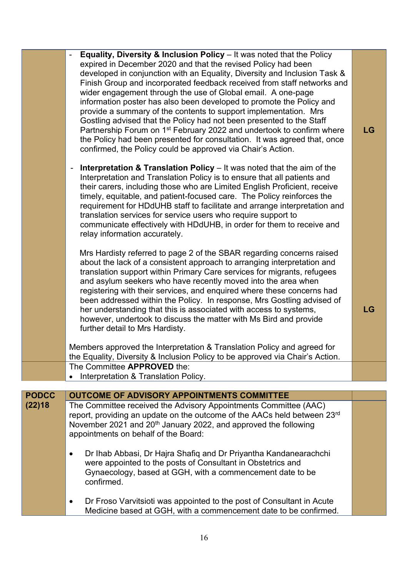|                        | Equality, Diversity & Inclusion Policy - It was noted that the Policy<br>expired in December 2020 and that the revised Policy had been<br>developed in conjunction with an Equality, Diversity and Inclusion Task &<br>Finish Group and incorporated feedback received from staff networks and<br>wider engagement through the use of Global email. A one-page<br>information poster has also been developed to promote the Policy and<br>provide a summary of the contents to support implementation. Mrs<br>Gostling advised that the Policy had not been presented to the Staff<br>Partnership Forum on 1 <sup>st</sup> February 2022 and undertook to confirm where<br>the Policy had been presented for consultation. It was agreed that, once<br>confirmed, the Policy could be approved via Chair's Action. | LG |
|------------------------|--------------------------------------------------------------------------------------------------------------------------------------------------------------------------------------------------------------------------------------------------------------------------------------------------------------------------------------------------------------------------------------------------------------------------------------------------------------------------------------------------------------------------------------------------------------------------------------------------------------------------------------------------------------------------------------------------------------------------------------------------------------------------------------------------------------------|----|
|                        | <b>Interpretation &amp; Translation Policy</b> $-$ It was noted that the aim of the<br>Interpretation and Translation Policy is to ensure that all patients and<br>their carers, including those who are Limited English Proficient, receive<br>timely, equitable, and patient-focused care. The Policy reinforces the<br>requirement for HDdUHB staff to facilitate and arrange interpretation and<br>translation services for service users who require support to<br>communicate effectively with HDdUHB, in order for them to receive and<br>relay information accurately.                                                                                                                                                                                                                                     |    |
|                        | Mrs Hardisty referred to page 2 of the SBAR regarding concerns raised<br>about the lack of a consistent approach to arranging interpretation and<br>translation support within Primary Care services for migrants, refugees<br>and asylum seekers who have recently moved into the area when<br>registering with their services, and enquired where these concerns had<br>been addressed within the Policy. In response, Mrs Gostling advised of<br>her understanding that this is associated with access to systems,<br>however, undertook to discuss the matter with Ms Bird and provide<br>further detail to Mrs Hardisty.                                                                                                                                                                                      | LG |
|                        | Members approved the Interpretation & Translation Policy and agreed for<br>the Equality, Diversity & Inclusion Policy to be approved via Chair's Action.                                                                                                                                                                                                                                                                                                                                                                                                                                                                                                                                                                                                                                                           |    |
|                        | The Committee APPROVED the:<br>Interpretation & Translation Policy.                                                                                                                                                                                                                                                                                                                                                                                                                                                                                                                                                                                                                                                                                                                                                |    |
|                        |                                                                                                                                                                                                                                                                                                                                                                                                                                                                                                                                                                                                                                                                                                                                                                                                                    |    |
| <b>PODCC</b><br>(22)18 | <b>OUTCOME OF ADVISORY APPOINTMENTS COMMITTEE</b><br>The Committee received the Advisory Appointments Committee (AAC)<br>report, providing an update on the outcome of the AACs held between 23rd<br>November 2021 and 20 <sup>th</sup> January 2022, and approved the following<br>appointments on behalf of the Board:                                                                                                                                                                                                                                                                                                                                                                                                                                                                                           |    |
|                        | Dr Ihab Abbasi, Dr Hajra Shafiq and Dr Priyantha Kandanearachchi<br>$\bullet$<br>were appointed to the posts of Consultant in Obstetrics and<br>Gynaecology, based at GGH, with a commencement date to be<br>confirmed.                                                                                                                                                                                                                                                                                                                                                                                                                                                                                                                                                                                            |    |
|                        |                                                                                                                                                                                                                                                                                                                                                                                                                                                                                                                                                                                                                                                                                                                                                                                                                    |    |

• Dr Froso Varvitsioti was appointed to the post of Consultant in Acute Medicine based at GGH, with a commencement date to be confirmed.

16